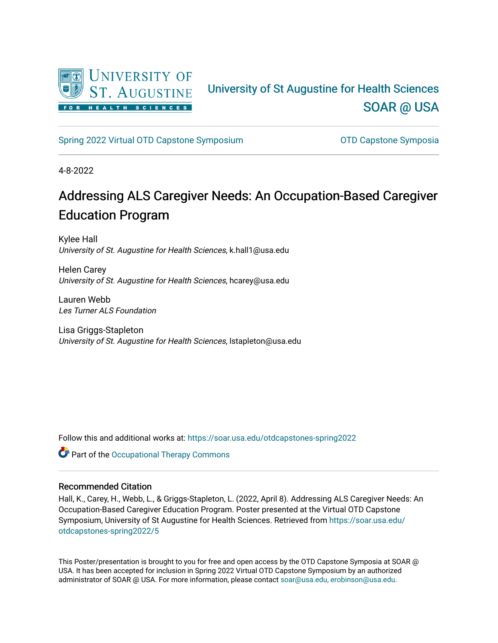

### University of St Augustine for Health Sciences [SOAR @ USA](https://soar.usa.edu/)

[Spring 2022 Virtual OTD Capstone Symposium](https://soar.usa.edu/otdcapstones-spring2022) **Capstone Symposia** OTD Capstone Symposia

4-8-2022

### Addressing ALS Caregiver Needs: An Occupation-Based Caregiver Education Program

Kylee Hall University of St. Augustine for Health Sciences, k.hall1@usa.edu

Helen Carey University of St. Augustine for Health Sciences, hcarey@usa.edu

Lauren Webb Les Turner ALS Foundation

Lisa Griggs-Stapleton University of St. Augustine for Health Sciences, lstapleton@usa.edu

Follow this and additional works at: [https://soar.usa.edu/otdcapstones-spring2022](https://soar.usa.edu/otdcapstones-spring2022?utm_source=soar.usa.edu%2Fotdcapstones-spring2022%2F5&utm_medium=PDF&utm_campaign=PDFCoverPages)

Part of the [Occupational Therapy Commons](http://network.bepress.com/hgg/discipline/752?utm_source=soar.usa.edu%2Fotdcapstones-spring2022%2F5&utm_medium=PDF&utm_campaign=PDFCoverPages) 

### Recommended Citation

Hall, K., Carey, H., Webb, L., & Griggs-Stapleton, L. (2022, April 8). Addressing ALS Caregiver Needs: An Occupation-Based Caregiver Education Program. Poster presented at the Virtual OTD Capstone Symposium, University of St Augustine for Health Sciences. Retrieved from [https://soar.usa.edu/](https://soar.usa.edu/otdcapstones-spring2022/5?utm_source=soar.usa.edu%2Fotdcapstones-spring2022%2F5&utm_medium=PDF&utm_campaign=PDFCoverPages) [otdcapstones-spring2022/5](https://soar.usa.edu/otdcapstones-spring2022/5?utm_source=soar.usa.edu%2Fotdcapstones-spring2022%2F5&utm_medium=PDF&utm_campaign=PDFCoverPages) 

This Poster/presentation is brought to you for free and open access by the OTD Capstone Symposia at SOAR @ USA. It has been accepted for inclusion in Spring 2022 Virtual OTD Capstone Symposium by an authorized administrator of SOAR @ USA. For more information, please contact [soar@usa.edu, erobinson@usa.edu](mailto:soar@usa.edu,%20erobinson@usa.edu).